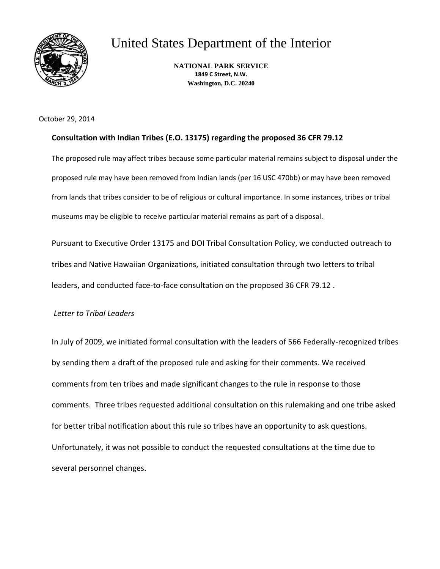

United States Department of the Interior

**NATIONAL PARK SERVICE 1849 C Street, N.W. Washington, D.C. 20240**

October 29, 2014

# **Consultation with Indian Tribes (E.O. 13175) regarding the proposed 36 CFR 79.12**

The proposed rule may affect tribes because some particular material remains subject to disposal under the proposed rule may have been removed from Indian lands (per 16 USC 470bb) or may have been removed from lands that tribes consider to be of religious or cultural importance. In some instances, tribes or tribal museums may be eligible to receive particular material remains as part of a disposal.

Pursuant to Executive Order 13175 and DOI Tribal Consultation Policy, we conducted outreach to tribes and Native Hawaiian Organizations, initiated consultation through two letters to tribal leaders, and conducted face-to-face consultation on the proposed 36 CFR 79.12 .

## *Letter to Tribal Leaders*

In July of 2009, we initiated formal consultation with the leaders of 566 Federally-recognized tribes by sending them a draft of the proposed rule and asking for their comments. We received comments from ten tribes and made significant changes to the rule in response to those comments. Three tribes requested additional consultation on this rulemaking and one tribe asked for better tribal notification about this rule so tribes have an opportunity to ask questions. Unfortunately, it was not possible to conduct the requested consultations at the time due to several personnel changes.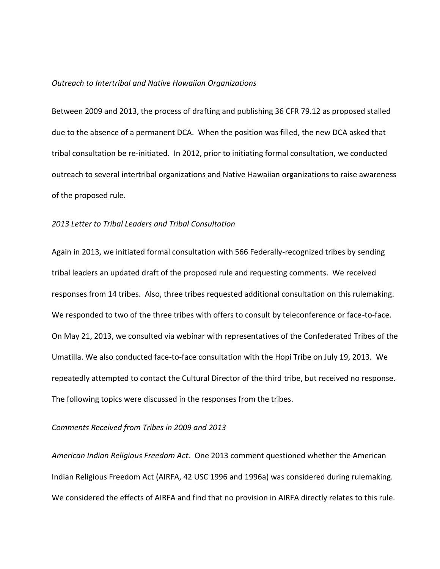#### *Outreach to Intertribal and Native Hawaiian Organizations*

Between 2009 and 2013, the process of drafting and publishing 36 CFR 79.12 as proposed stalled due to the absence of a permanent DCA. When the position was filled, the new DCA asked that tribal consultation be re-initiated. In 2012, prior to initiating formal consultation, we conducted outreach to several intertribal organizations and Native Hawaiian organizations to raise awareness of the proposed rule.

#### *2013 Letter to Tribal Leaders and Tribal Consultation*

Again in 2013, we initiated formal consultation with 566 Federally-recognized tribes by sending tribal leaders an updated draft of the proposed rule and requesting comments. We received responses from 14 tribes. Also, three tribes requested additional consultation on this rulemaking. We responded to two of the three tribes with offers to consult by teleconference or face-to-face. On May 21, 2013, we consulted via webinar with representatives of the Confederated Tribes of the Umatilla. We also conducted face-to-face consultation with the Hopi Tribe on July 19, 2013. We repeatedly attempted to contact the Cultural Director of the third tribe, but received no response. The following topics were discussed in the responses from the tribes.

### *Comments Received from Tribes in 2009 and 2013*

*American Indian Religious Freedom Act.* One 2013 comment questioned whether the American Indian Religious Freedom Act (AIRFA, 42 USC 1996 and 1996a) was considered during rulemaking. We considered the effects of AIRFA and find that no provision in AIRFA directly relates to this rule.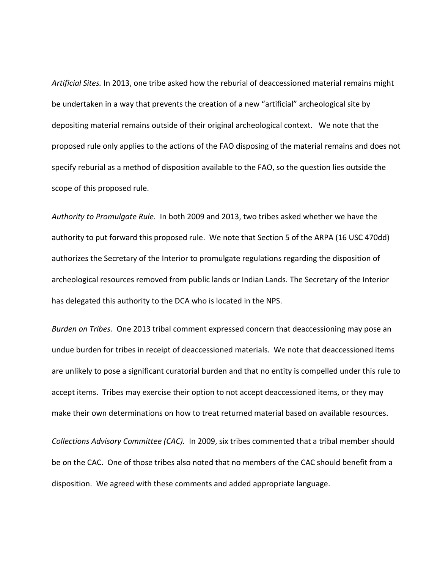*Artificial Sites.* In 2013, one tribe asked how the reburial of deaccessioned material remains might be undertaken in a way that prevents the creation of a new "artificial" archeological site by depositing material remains outside of their original archeological context. We note that the proposed rule only applies to the actions of the FAO disposing of the material remains and does not specify reburial as a method of disposition available to the FAO, so the question lies outside the scope of this proposed rule.

*Authority to Promulgate Rule.* In both 2009 and 2013, two tribes asked whether we have the authority to put forward this proposed rule. We note that Section 5 of the ARPA (16 USC 470dd) authorizes the Secretary of the Interior to promulgate regulations regarding the disposition of archeological resources removed from public lands or Indian Lands. The Secretary of the Interior has delegated this authority to the DCA who is located in the NPS.

*Burden on Tribes.* One 2013 tribal comment expressed concern that deaccessioning may pose an undue burden for tribes in receipt of deaccessioned materials. We note that deaccessioned items are unlikely to pose a significant curatorial burden and that no entity is compelled under this rule to accept items. Tribes may exercise their option to not accept deaccessioned items, or they may make their own determinations on how to treat returned material based on available resources.

*Collections Advisory Committee (CAC).* In 2009, six tribes commented that a tribal member should be on the CAC. One of those tribes also noted that no members of the CAC should benefit from a disposition. We agreed with these comments and added appropriate language.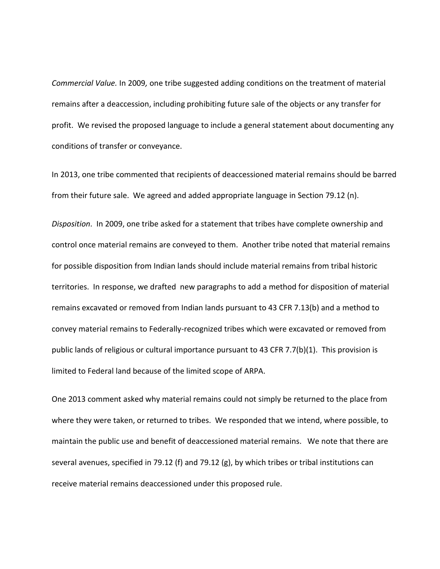*Commercial Value.* In 2009*,* one tribe suggested adding conditions on the treatment of material remains after a deaccession, including prohibiting future sale of the objects or any transfer for profit. We revised the proposed language to include a general statement about documenting any conditions of transfer or conveyance.

In 2013, one tribe commented that recipients of deaccessioned material remains should be barred from their future sale. We agreed and added appropriate language in Section 79.12 (n).

*Disposition*. In 2009, one tribe asked for a statement that tribes have complete ownership and control once material remains are conveyed to them. Another tribe noted that material remains for possible disposition from Indian lands should include material remains from tribal historic territories. In response, we drafted new paragraphs to add a method for disposition of material remains excavated or removed from Indian lands pursuant to 43 CFR 7.13(b) and a method to convey material remains to Federally-recognized tribes which were excavated or removed from public lands of religious or cultural importance pursuant to 43 CFR 7.7(b)(1). This provision is limited to Federal land because of the limited scope of ARPA.

One 2013 comment asked why material remains could not simply be returned to the place from where they were taken, or returned to tribes. We responded that we intend, where possible, to maintain the public use and benefit of deaccessioned material remains. We note that there are several avenues, specified in 79.12 (f) and 79.12 (g), by which tribes or tribal institutions can receive material remains deaccessioned under this proposed rule.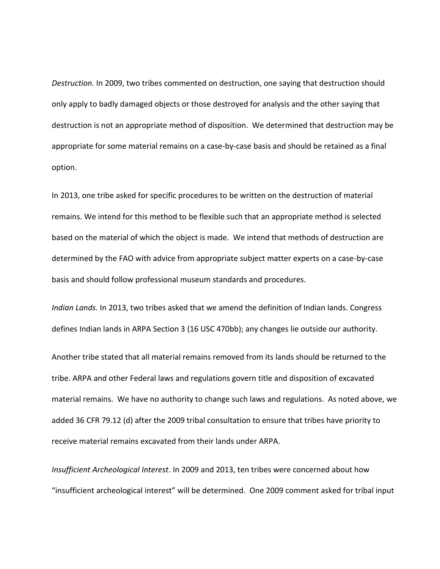*Destruction.* In 2009, two tribes commented on destruction, one saying that destruction should only apply to badly damaged objects or those destroyed for analysis and the other saying that destruction is not an appropriate method of disposition. We determined that destruction may be appropriate for some material remains on a case-by-case basis and should be retained as a final option.

In 2013, one tribe asked for specific procedures to be written on the destruction of material remains. We intend for this method to be flexible such that an appropriate method is selected based on the material of which the object is made. We intend that methods of destruction are determined by the FAO with advice from appropriate subject matter experts on a case-by-case basis and should follow professional museum standards and procedures.

*Indian Lands.* In 2013, two tribes asked that we amend the definition of Indian lands. Congress defines Indian lands in ARPA Section 3 (16 USC 470bb); any changes lie outside our authority.

Another tribe stated that all material remains removed from its lands should be returned to the tribe. ARPA and other Federal laws and regulations govern title and disposition of excavated material remains. We have no authority to change such laws and regulations. As noted above, we added 36 CFR 79.12 (d) after the 2009 tribal consultation to ensure that tribes have priority to receive material remains excavated from their lands under ARPA.

*Insufficient Archeological Interest*. In 2009 and 2013, ten tribes were concerned about how "insufficient archeological interest" will be determined. One 2009 comment asked for tribal input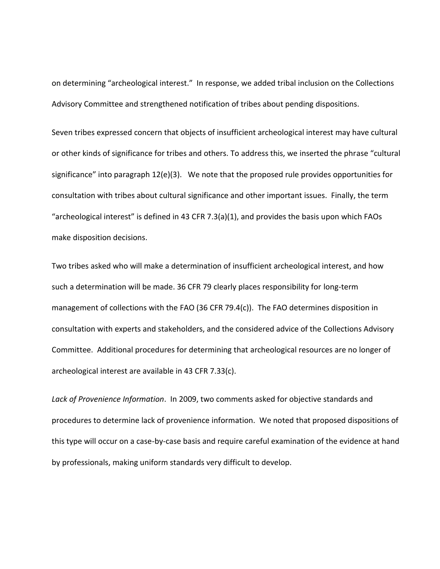on determining "archeological interest." In response, we added tribal inclusion on the Collections Advisory Committee and strengthened notification of tribes about pending dispositions.

Seven tribes expressed concern that objects of insufficient archeological interest may have cultural or other kinds of significance for tribes and others. To address this, we inserted the phrase "cultural significance" into paragraph 12(e)(3). We note that the proposed rule provides opportunities for consultation with tribes about cultural significance and other important issues. Finally, the term "archeological interest" is defined in 43 CFR 7.3(a)(1), and provides the basis upon which FAOs make disposition decisions.

Two tribes asked who will make a determination of insufficient archeological interest, and how such a determination will be made. 36 CFR 79 clearly places responsibility for long-term management of collections with the FAO (36 CFR 79.4(c)). The FAO determines disposition in consultation with experts and stakeholders, and the considered advice of the Collections Advisory Committee. Additional procedures for determining that archeological resources are no longer of archeological interest are available in 43 CFR 7.33(c).

*Lack of Provenience Information*. In 2009, two comments asked for objective standards and procedures to determine lack of provenience information. We noted that proposed dispositions of this type will occur on a case-by-case basis and require careful examination of the evidence at hand by professionals, making uniform standards very difficult to develop.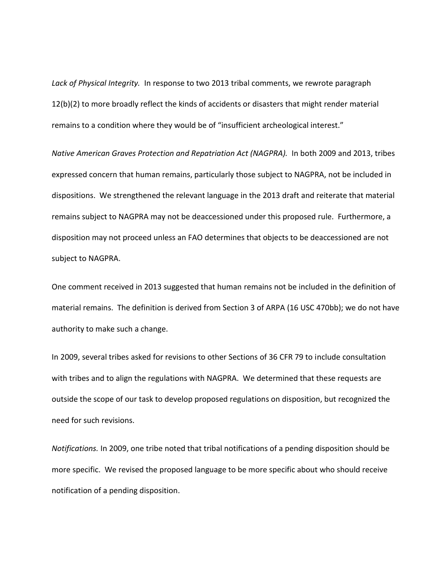*Lack of Physical Integrity.* In response to two 2013 tribal comments, we rewrote paragraph 12(b)(2) to more broadly reflect the kinds of accidents or disasters that might render material remains to a condition where they would be of "insufficient archeological interest."

*Native American Graves Protection and Repatriation Act (NAGPRA).* In both 2009 and 2013, tribes expressed concern that human remains, particularly those subject to NAGPRA, not be included in dispositions. We strengthened the relevant language in the 2013 draft and reiterate that material remains subject to NAGPRA may not be deaccessioned under this proposed rule. Furthermore, a disposition may not proceed unless an FAO determines that objects to be deaccessioned are not subject to NAGPRA.

One comment received in 2013 suggested that human remains not be included in the definition of material remains. The definition is derived from Section 3 of ARPA (16 USC 470bb); we do not have authority to make such a change.

In 2009, several tribes asked for revisions to other Sections of 36 CFR 79 to include consultation with tribes and to align the regulations with NAGPRA. We determined that these requests are outside the scope of our task to develop proposed regulations on disposition, but recognized the need for such revisions.

*Notifications.* In 2009, one tribe noted that tribal notifications of a pending disposition should be more specific. We revised the proposed language to be more specific about who should receive notification of a pending disposition.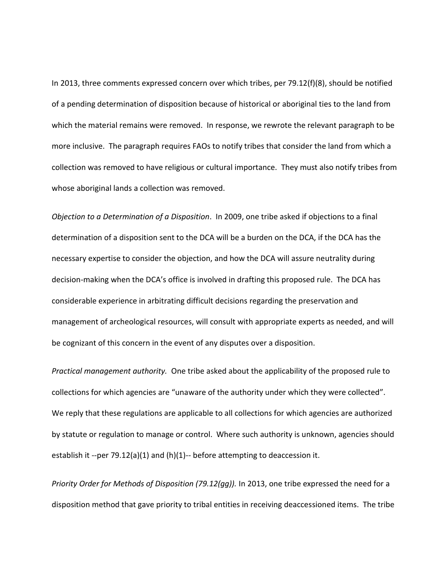In 2013, three comments expressed concern over which tribes, per 79.12(f)(8), should be notified of a pending determination of disposition because of historical or aboriginal ties to the land from which the material remains were removed. In response, we rewrote the relevant paragraph to be more inclusive. The paragraph requires FAOs to notify tribes that consider the land from which a collection was removed to have religious or cultural importance. They must also notify tribes from whose aboriginal lands a collection was removed.

*Objection to a Determination of a Disposition*. In 2009, one tribe asked if objections to a final determination of a disposition sent to the DCA will be a burden on the DCA, if the DCA has the necessary expertise to consider the objection, and how the DCA will assure neutrality during decision-making when the DCA's office is involved in drafting this proposed rule. The DCA has considerable experience in arbitrating difficult decisions regarding the preservation and management of archeological resources, will consult with appropriate experts as needed, and will be cognizant of this concern in the event of any disputes over a disposition.

*Practical management authority.* One tribe asked about the applicability of the proposed rule to collections for which agencies are "unaware of the authority under which they were collected". We reply that these regulations are applicable to all collections for which agencies are authorized by statute or regulation to manage or control. Where such authority is unknown, agencies should establish it --per 79.12(a)(1) and (h)(1)-- before attempting to deaccession it.

*Priority Order for Methods of Disposition (79.12(gg)).* In 2013, one tribe expressed the need for a disposition method that gave priority to tribal entities in receiving deaccessioned items. The tribe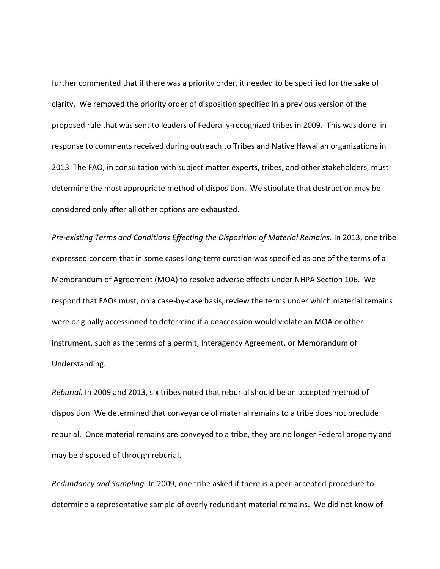further commented that if there was a priority order, it needed to be specified for the sake of clarity. We removed the priority order of disposition specified in a previous version of the proposed rule that was sent to leaders of Federally-recognized tribes in 2009. This was done in response to comments received during outreach to Tribes and Native Hawaiian organizations in 2013 The FAO, in consultation with subject matter experts, tribes, and other stakeholders, must determine the most appropriate method of disposition. We stipulate that destruction may be considered only after all other options are exhausted.

*Pre-existing Terms and Conditions Effecting the Disposition of Material Remains.* In 2013, one tribe expressed concern that in some cases long-term curation was specified as one of the terms of a Memorandum of Agreement (MOA) to resolve adverse effects under NHPA Section 106. We respond that FAOs must, on a case-by-case basis, review the terms under which material remains were originally accessioned to determine if a deaccession would violate an MOA or other instrument, such as the terms of a permit, Interagency Agreement, or Memorandum of Understanding.

*Reburial.* In 2009 and 2013, six tribes noted that reburial should be an accepted method of disposition. We determined that conveyance of material remains to a tribe does not preclude reburial. Once material remains are conveyed to a tribe, they are no longer Federal property and may be disposed of through reburial.

*Redundancy and Sampling.* In 2009, one tribe asked if there is a peer-accepted procedure to determine a representative sample of overly redundant material remains. We did not know of